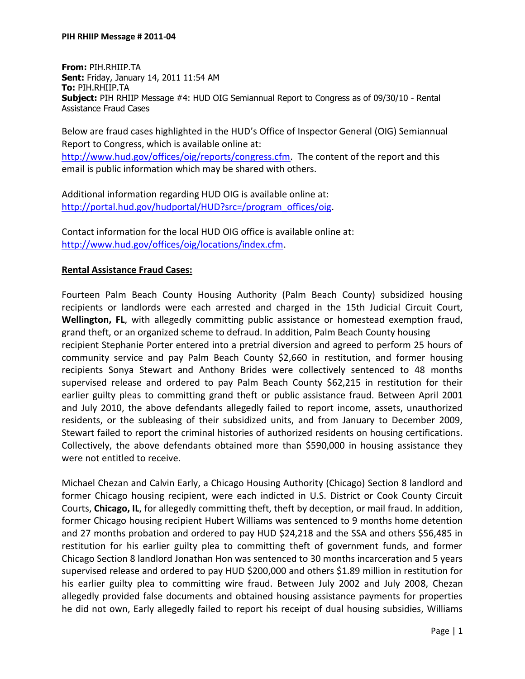**From:** PIH.RHIIP.TA **Sent:** Friday, January 14, 2011 11:54 AM **To:** PIH.RHIIP.TA **Subject:** PIH RHIIP Message #4: HUD OIG Semiannual Report to Congress as of 09/30/10 - Rental Assistance Fraud Cases

Below are fraud cases highlighted in the HUD's Office of Inspector General (OIG) Semiannual Report to Congress, which is available online at:

[http://www.hud.gov/offices/oig/reports/congress.cfm.](http://www.hud.gov/offices/oig/reports/congress.cfm) The content of the report and this email is public information which may be shared with others.

Additional information regarding HUD OIG is available online at: [http://portal.hud.gov/hudportal/HUD?src=/program\\_offices/oig.](http://portal.hud.gov/hudportal/HUD?src=/program_offices/oig)

Contact information for the local HUD OIG office is available online at: [http://www.hud.gov/offices/oig/locations/index.cfm.](http://www.hud.gov/offices/oig/locations/index.cfm)

## **Rental Assistance Fraud Cases:**

Fourteen Palm Beach County Housing Authority (Palm Beach County) subsidized housing recipients or landlords were each arrested and charged in the 15th Judicial Circuit Court, **Wellington, FL**, with allegedly committing public assistance or homestead exemption fraud, grand theft, or an organized scheme to defraud. In addition, Palm Beach County housing recipient Stephanie Porter entered into a pretrial diversion and agreed to perform 25 hours of community service and pay Palm Beach County \$2,660 in restitution, and former housing recipients Sonya Stewart and Anthony Brides were collectively sentenced to 48 months supervised release and ordered to pay Palm Beach County \$62,215 in restitution for their earlier guilty pleas to committing grand theft or public assistance fraud. Between April 2001 and July 2010, the above defendants allegedly failed to report income, assets, unauthorized residents, or the subleasing of their subsidized units, and from January to December 2009, Stewart failed to report the criminal histories of authorized residents on housing certifications. Collectively, the above defendants obtained more than \$590,000 in housing assistance they were not entitled to receive.

Michael Chezan and Calvin Early, a Chicago Housing Authority (Chicago) Section 8 landlord and former Chicago housing recipient, were each indicted in U.S. District or Cook County Circuit Courts, **Chicago, IL**, for allegedly committing theft, theft by deception, or mail fraud. In addition, former Chicago housing recipient Hubert Williams was sentenced to 9 months home detention and 27 months probation and ordered to pay HUD \$24,218 and the SSA and others \$56,485 in restitution for his earlier guilty plea to committing theft of government funds, and former Chicago Section 8 landlord Jonathan Hon was sentenced to 30 months incarceration and 5 years supervised release and ordered to pay HUD \$200,000 and others \$1.89 million in restitution for his earlier guilty plea to committing wire fraud. Between July 2002 and July 2008, Chezan allegedly provided false documents and obtained housing assistance payments for properties he did not own, Early allegedly failed to report his receipt of dual housing subsidies, Williams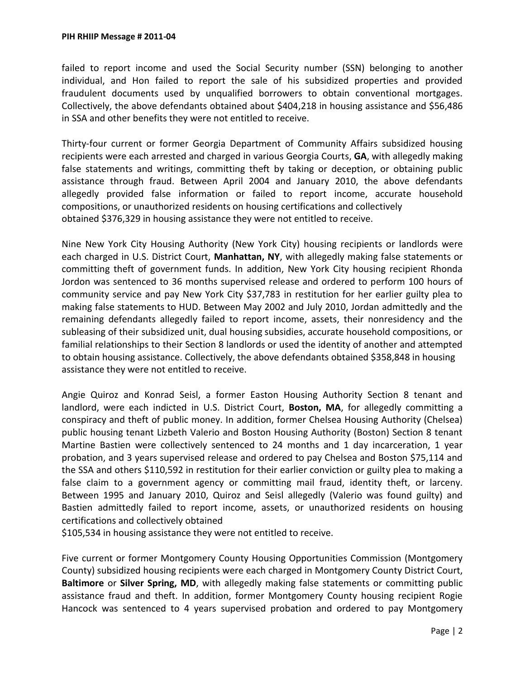failed to report income and used the Social Security number (SSN) belonging to another individual, and Hon failed to report the sale of his subsidized properties and provided fraudulent documents used by unqualified borrowers to obtain conventional mortgages. Collectively, the above defendants obtained about \$404,218 in housing assistance and \$56,486 in SSA and other benefits they were not entitled to receive.

Thirty-four current or former Georgia Department of Community Affairs subsidized housing recipients were each arrested and charged in various Georgia Courts, **GA**, with allegedly making false statements and writings, committing theft by taking or deception, or obtaining public assistance through fraud. Between April 2004 and January 2010, the above defendants allegedly provided false information or failed to report income, accurate household compositions, or unauthorized residents on housing certifications and collectively obtained \$376,329 in housing assistance they were not entitled to receive.

Nine New York City Housing Authority (New York City) housing recipients or landlords were each charged in U.S. District Court, **Manhattan, NY**, with allegedly making false statements or committing theft of government funds. In addition, New York City housing recipient Rhonda Jordon was sentenced to 36 months supervised release and ordered to perform 100 hours of community service and pay New York City \$37,783 in restitution for her earlier guilty plea to making false statements to HUD. Between May 2002 and July 2010, Jordan admittedly and the remaining defendants allegedly failed to report income, assets, their nonresidency and the subleasing of their subsidized unit, dual housing subsidies, accurate household compositions, or familial relationships to their Section 8 landlords or used the identity of another and attempted to obtain housing assistance. Collectively, the above defendants obtained \$358,848 in housing assistance they were not entitled to receive.

Angie Quiroz and Konrad Seisl, a former Easton Housing Authority Section 8 tenant and landlord, were each indicted in U.S. District Court, **Boston, MA**, for allegedly committing a conspiracy and theft of public money. In addition, former Chelsea Housing Authority (Chelsea) public housing tenant Lizbeth Valerio and Boston Housing Authority (Boston) Section 8 tenant Martine Bastien were collectively sentenced to 24 months and 1 day incarceration, 1 year probation, and 3 years supervised release and ordered to pay Chelsea and Boston \$75,114 and the SSA and others \$110,592 in restitution for their earlier conviction or guilty plea to making a false claim to a government agency or committing mail fraud, identity theft, or larceny. Between 1995 and January 2010, Quiroz and Seisl allegedly (Valerio was found guilty) and Bastien admittedly failed to report income, assets, or unauthorized residents on housing certifications and collectively obtained

\$105,534 in housing assistance they were not entitled to receive.

Five current or former Montgomery County Housing Opportunities Commission (Montgomery County) subsidized housing recipients were each charged in Montgomery County District Court, **Baltimore** or **Silver Spring, MD**, with allegedly making false statements or committing public assistance fraud and theft. In addition, former Montgomery County housing recipient Rogie Hancock was sentenced to 4 years supervised probation and ordered to pay Montgomery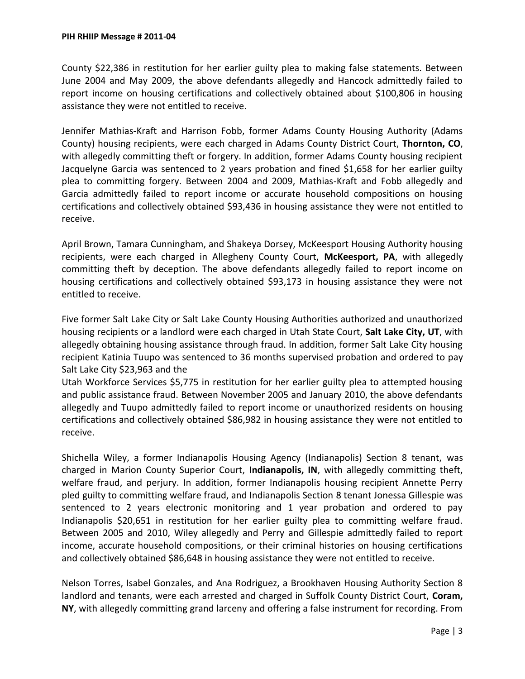County \$22,386 in restitution for her earlier guilty plea to making false statements. Between June 2004 and May 2009, the above defendants allegedly and Hancock admittedly failed to report income on housing certifications and collectively obtained about \$100,806 in housing assistance they were not entitled to receive.

Jennifer Mathias-Kraft and Harrison Fobb, former Adams County Housing Authority (Adams County) housing recipients, were each charged in Adams County District Court, **Thornton, CO**, with allegedly committing theft or forgery. In addition, former Adams County housing recipient Jacquelyne Garcia was sentenced to 2 years probation and fined \$1,658 for her earlier guilty plea to committing forgery. Between 2004 and 2009, Mathias-Kraft and Fobb allegedly and Garcia admittedly failed to report income or accurate household compositions on housing certifications and collectively obtained \$93,436 in housing assistance they were not entitled to receive.

April Brown, Tamara Cunningham, and Shakeya Dorsey, McKeesport Housing Authority housing recipients, were each charged in Allegheny County Court, **McKeesport, PA**, with allegedly committing theft by deception. The above defendants allegedly failed to report income on housing certifications and collectively obtained \$93,173 in housing assistance they were not entitled to receive.

Five former Salt Lake City or Salt Lake County Housing Authorities authorized and unauthorized housing recipients or a landlord were each charged in Utah State Court, **Salt Lake City, UT**, with allegedly obtaining housing assistance through fraud. In addition, former Salt Lake City housing recipient Katinia Tuupo was sentenced to 36 months supervised probation and ordered to pay Salt Lake City \$23,963 and the

Utah Workforce Services \$5,775 in restitution for her earlier guilty plea to attempted housing and public assistance fraud. Between November 2005 and January 2010, the above defendants allegedly and Tuupo admittedly failed to report income or unauthorized residents on housing certifications and collectively obtained \$86,982 in housing assistance they were not entitled to receive.

Shichella Wiley, a former Indianapolis Housing Agency (Indianapolis) Section 8 tenant, was charged in Marion County Superior Court, **Indianapolis, IN**, with allegedly committing theft, welfare fraud, and perjury. In addition, former Indianapolis housing recipient Annette Perry pled guilty to committing welfare fraud, and Indianapolis Section 8 tenant Jonessa Gillespie was sentenced to 2 years electronic monitoring and 1 year probation and ordered to pay Indianapolis \$20,651 in restitution for her earlier guilty plea to committing welfare fraud. Between 2005 and 2010, Wiley allegedly and Perry and Gillespie admittedly failed to report income, accurate household compositions, or their criminal histories on housing certifications and collectively obtained \$86,648 in housing assistance they were not entitled to receive.

Nelson Torres, Isabel Gonzales, and Ana Rodriguez, a Brookhaven Housing Authority Section 8 landlord and tenants, were each arrested and charged in Suffolk County District Court, **Coram, NY**, with allegedly committing grand larceny and offering a false instrument for recording. From